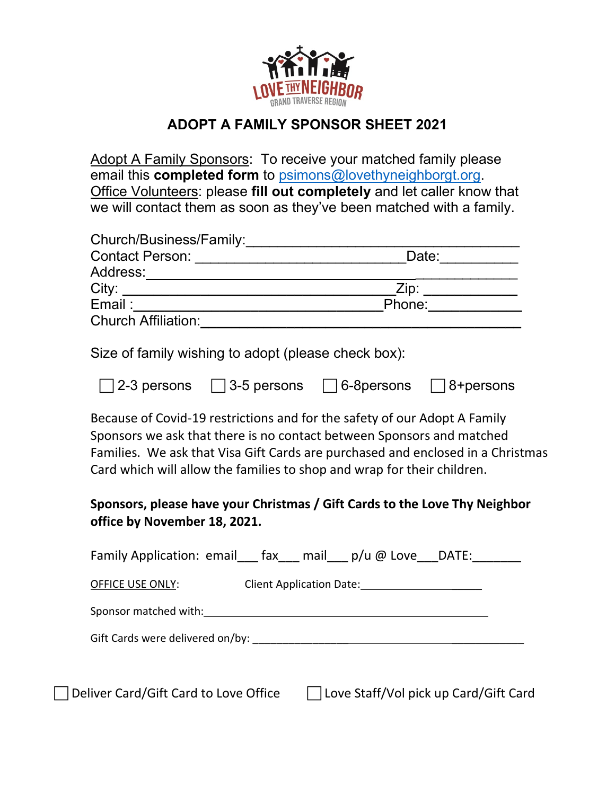

## **ADOPT A FAMILY SPONSOR SHEET 2021**

Adopt A Family Sponsors: To receive your matched family please email this **completed form** to [psimons@lovethyneighborgt.org.](mailto:psimons@lovethyneighborgt.org) Office Volunteers: please **fill out completely** and let caller know that we will contact them as soon as they've been matched with a family.

| Church/Business/Family:    |        |
|----------------------------|--------|
| <b>Contact Person:</b>     | Date:  |
| Address:                   |        |
| City:                      | Zip:   |
| Email:                     | Phone: |
| <b>Church Affiliation:</b> |        |
|                            |        |

Size of family wishing to adopt (please check box):

| $\Box$ 2-3 persons | $\Box$ 3-5 persons | □ 6-8persons □ 8+persons |  |
|--------------------|--------------------|--------------------------|--|
|--------------------|--------------------|--------------------------|--|

Because of Covid-19 restrictions and for the safety of our Adopt A Family Sponsors we ask that there is no contact between Sponsors and matched Families. We ask that Visa Gift Cards are purchased and enclosed in a Christmas Card which will allow the families to shop and wrap for their children.

## **Sponsors, please have your Christmas / Gift Cards to the Love Thy Neighbor office by November 18, 2021.**

|                                       | Family Application: email $\int$ fax mail $p/u$ @ Love DATE: |
|---------------------------------------|--------------------------------------------------------------|
| OFFICE USE ONLY:                      | Client Application Date: 1997                                |
|                                       | Sponsor matched with: Sponsor matched with:                  |
|                                       |                                                              |
|                                       |                                                              |
| Deliver Card/Gift Card to Love Office | Love Staff/Vol pick up Card/Gift Card                        |